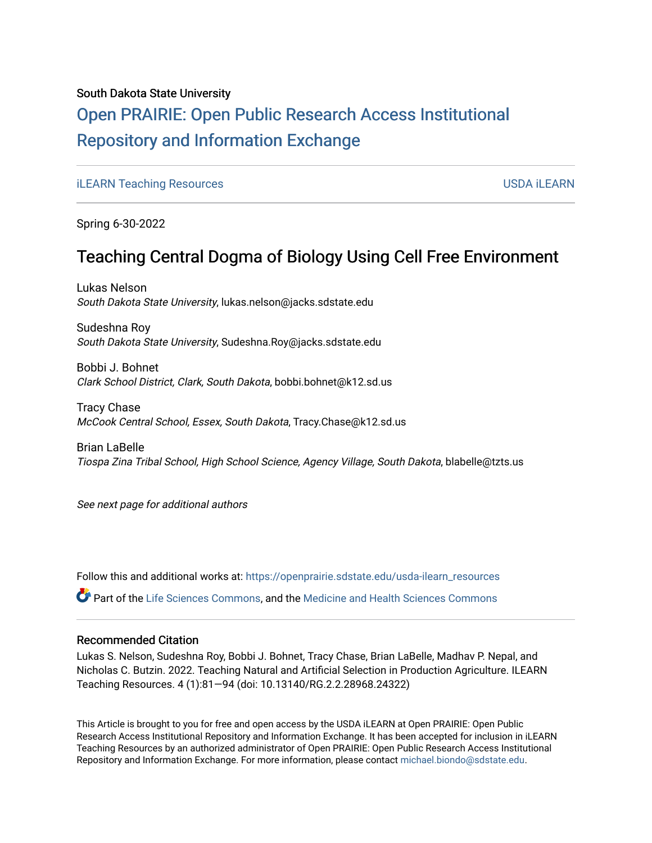#### South Dakota State University

## [Open PRAIRIE: Open Public Research Access Institutional](https://openprairie.sdstate.edu/)  [Repository and Information Exchange](https://openprairie.sdstate.edu/)

[iLEARN Teaching Resources](https://openprairie.sdstate.edu/usda-ilearn_resources) [USDA iLEARN](https://openprairie.sdstate.edu/usda-ilearn) 

Spring 6-30-2022

### Teaching Central Dogma of Biology Using Cell Free Environment

Lukas Nelson South Dakota State University, lukas.nelson@jacks.sdstate.edu

Sudeshna Roy South Dakota State University, Sudeshna.Roy@jacks.sdstate.edu

Bobbi J. Bohnet Clark School District, Clark, South Dakota, bobbi.bohnet@k12.sd.us

Tracy Chase McCook Central School, Essex, South Dakota, Tracy.Chase@k12.sd.us

Brian LaBelle Tiospa Zina Tribal School, High School Science, Agency Village, South Dakota, blabelle@tzts.us

See next page for additional authors

Follow this and additional works at: [https://openprairie.sdstate.edu/usda-ilearn\\_resources](https://openprairie.sdstate.edu/usda-ilearn_resources?utm_source=openprairie.sdstate.edu%2Fusda-ilearn_resources%2F13&utm_medium=PDF&utm_campaign=PDFCoverPages) 

Part of the [Life Sciences Commons,](https://network.bepress.com/hgg/discipline/1016?utm_source=openprairie.sdstate.edu%2Fusda-ilearn_resources%2F13&utm_medium=PDF&utm_campaign=PDFCoverPages) and the [Medicine and Health Sciences Commons](https://network.bepress.com/hgg/discipline/648?utm_source=openprairie.sdstate.edu%2Fusda-ilearn_resources%2F13&utm_medium=PDF&utm_campaign=PDFCoverPages)

#### Recommended Citation

Lukas S. Nelson, Sudeshna Roy, Bobbi J. Bohnet, Tracy Chase, Brian LaBelle, Madhav P. Nepal, and Nicholas C. Butzin. 2022. Teaching Natural and Artificial Selection in Production Agriculture. ILEARN Teaching Resources. 4 (1):81—94 (doi: 10.13140/RG.2.2.28968.24322)

This Article is brought to you for free and open access by the USDA iLEARN at Open PRAIRIE: Open Public Research Access Institutional Repository and Information Exchange. It has been accepted for inclusion in iLEARN Teaching Resources by an authorized administrator of Open PRAIRIE: Open Public Research Access Institutional Repository and Information Exchange. For more information, please contact [michael.biondo@sdstate.edu.](mailto:michael.biondo@sdstate.edu)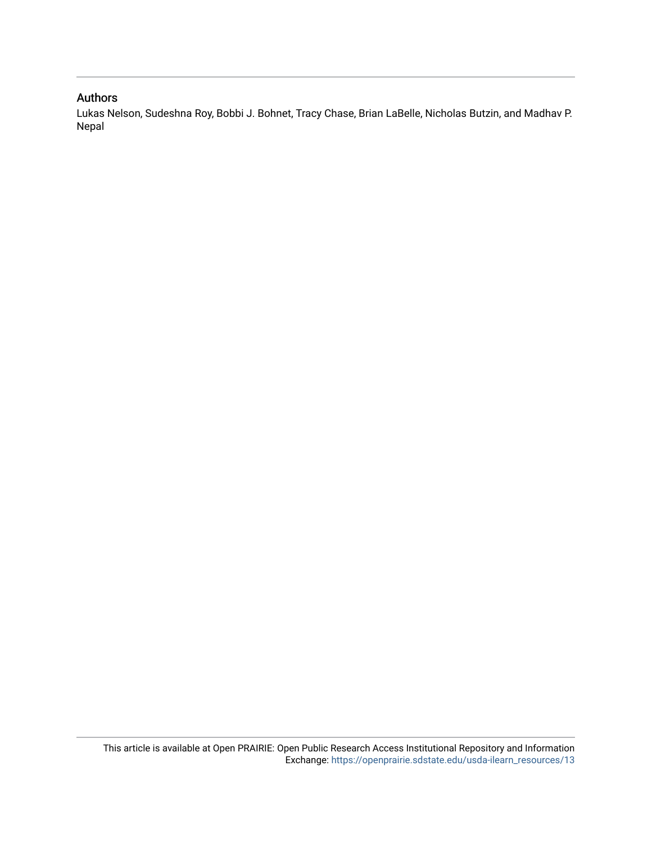#### Authors

Lukas Nelson, Sudeshna Roy, Bobbi J. Bohnet, Tracy Chase, Brian LaBelle, Nicholas Butzin, and Madhav P. Nepal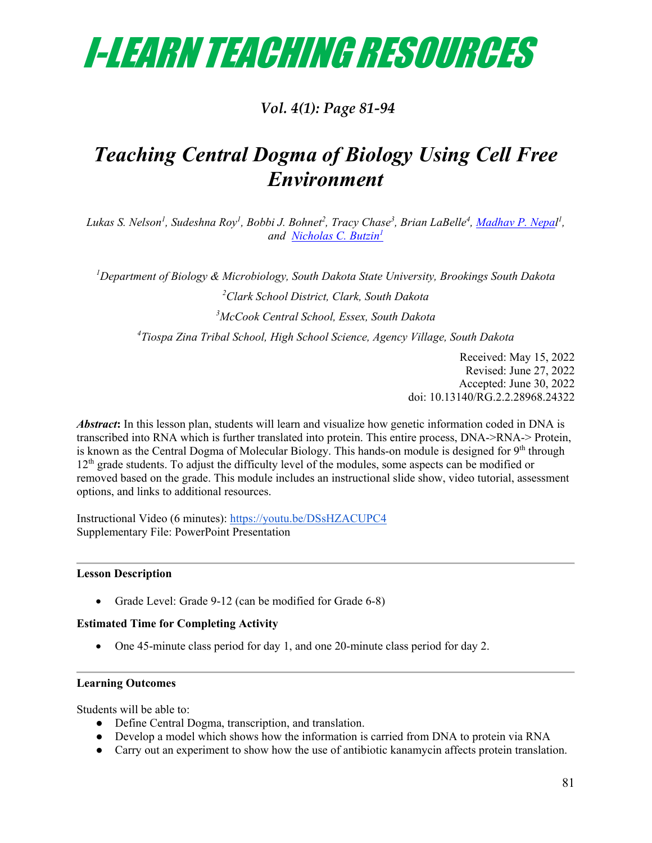

### *Vol. 4(1): Page 81‐94*

## *Teaching Central Dogma of Biology Using Cell Free Environment*

Lukas S. Nelson<sup>1</sup>, Sudeshna Roy<sup>1</sup>, Bobbi J. Bohnet<sup>2</sup>, Tracy Chase<sup>3</sup>, Brian LaBelle<sup>4</sup>, <u>Madhav P. Nepa</u>l<sup>1</sup>, *and [Nicholas C. Butzin](mailto:nicholas.butzin@sdstate.edu)<sup>1</sup>*

*1 Department of Biology & Microbiology, South Dakota State University, Brookings South Dakota 2 Clark School District, Clark, South Dakota*

*3 McCook Central School, Essex, South Dakota*

*4 Tiospa Zina Tribal School, High School Science, Agency Village, South Dakota*

Received: May 15, 2022 Revised: June 27, 2022 Accepted: June 30, 2022 doi: 10.13140/RG.2.2.28968.24322

*Abstract***:** In this lesson plan, students will learn and visualize how genetic information coded in DNA is transcribed into RNA which is further translated into protein. This entire process, DNA->RNA-> Protein, is known as the Central Dogma of Molecular Biology. This hands-on module is designed for  $9<sup>th</sup>$  through 12<sup>th</sup> grade students. To adjust the difficulty level of the modules, some aspects can be modified or removed based on the grade. This module includes an instructional slide show, video tutorial, assessment options, and links to additional resources.

Instructional Video (6 minutes):<https://youtu.be/DSsHZACUPC4> Supplementary File: PowerPoint Presentation

#### **Lesson Description**

• Grade Level: Grade 9-12 (can be modified for Grade 6-8)

#### **Estimated Time for Completing Activity**

• One 45-minute class period for day 1, and one 20-minute class period for day 2.

#### **Learning Outcomes**

Students will be able to:

- Define Central Dogma, transcription, and translation.
- Develop a model which shows how the information is carried from DNA to protein via RNA
- Carry out an experiment to show how the use of antibiotic kanamycin affects protein translation.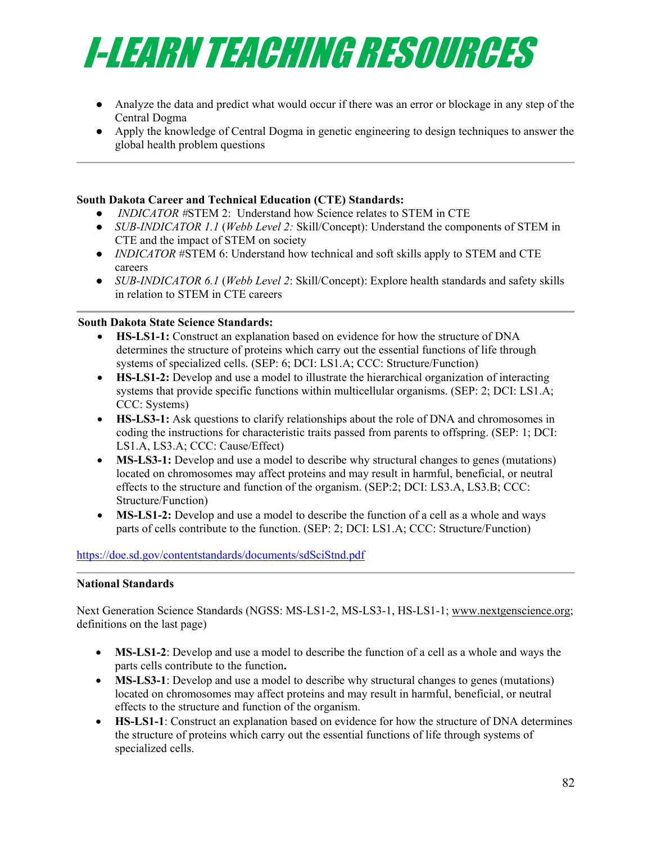

- Analyze the data and predict what would occur if there was an error or blockage in any step of the Central Dogma
- Apply the knowledge of Central Dogma in genetic engineering to design techniques to answer the global health problem questions

#### **South Dakota Career and Technical Education (CTE) Standards:**

- *INDICATOR #*STEM 2: Understand how Science relates to STEM in CTE
- *SUB-INDICATOR 1.1* (*Webb Level 2:* Skill/Concept): Understand the components of STEM in CTE and the impact of STEM on society
- *INDICATOR* #STEM 6: Understand how technical and soft skills apply to STEM and CTE careers
- *SUB-INDICATOR 6.1* (*Webb Level 2*: Skill/Concept): Explore health standards and safety skills in relation to STEM in CTE careers

#### **South Dakota State Science Standards:**

- **HS-LS1-1:** Construct an explanation based on evidence for how the structure of DNA determines the structure of proteins which carry out the essential functions of life through systems of specialized cells. (SEP: 6; DCI: LS1.A; CCC: Structure/Function)
- **HS-LS1-2:** Develop and use a model to illustrate the hierarchical organization of interacting systems that provide specific functions within multicellular organisms. (SEP: 2; DCI: LS1.A; CCC: Systems)
- **HS-LS3-1:** Ask questions to clarify relationships about the role of DNA and chromosomes in coding the instructions for characteristic traits passed from parents to offspring. (SEP: 1; DCI: LS1.A, LS3.A; CCC: Cause/Effect)
- **MS-LS3-1:** Develop and use a model to describe why structural changes to genes (mutations) located on chromosomes may affect proteins and may result in harmful, beneficial, or neutral effects to the structure and function of the organism. (SEP:2; DCI: LS3.A, LS3.B; CCC: Structure/Function)
- **MS-LS1-2:** Develop and use a model to describe the function of a cell as a whole and ways parts of cells contribute to the function. (SEP: 2; DCI: LS1.A; CCC: Structure/Function)

#### <https://doe.sd.gov/contentstandards/documents/sdSciStnd.pdf>

#### **National Standards**

Next Generation Science Standards (NGSS: MS-LS1-2, MS-LS3-1, HS-LS1-1; [www.nextgenscience.org;](http://www.nextgenscience.org/) definitions on the last page)

- **MS-LS1-2**: Develop and use a model to describe the function of a cell as a whole and ways the parts cells contribute to the function**.**
- **MS-LS3-1**: Develop and use a model to describe why structural changes to genes (mutations) located on chromosomes may affect proteins and may result in harmful, beneficial, or neutral effects to the structure and function of the organism.
- **HS-LS1-1**: Construct an explanation based on evidence for how the structure of DNA determines the structure of proteins which carry out the essential functions of life through systems of specialized cells.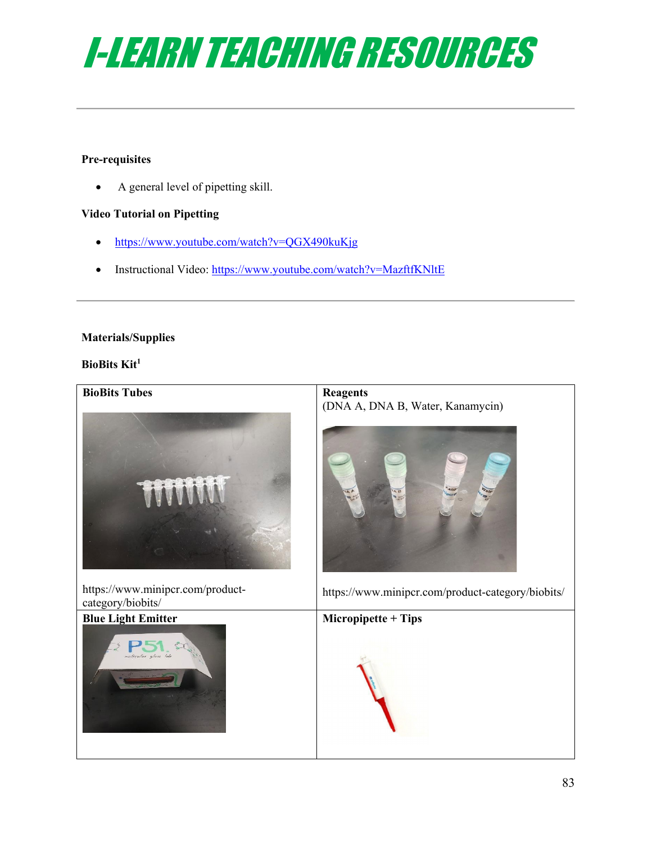

#### **Pre-requisites**

• A general level of pipetting skill.

#### **Video Tutorial on Pipetting**

- <https://www.youtube.com/watch?v=QGX490kuKjg>
- Instructional Video:<https://www.youtube.com/watch?v=MazftfKNltE>

#### **Materials/Supplies**

#### **BioBits Kit1**

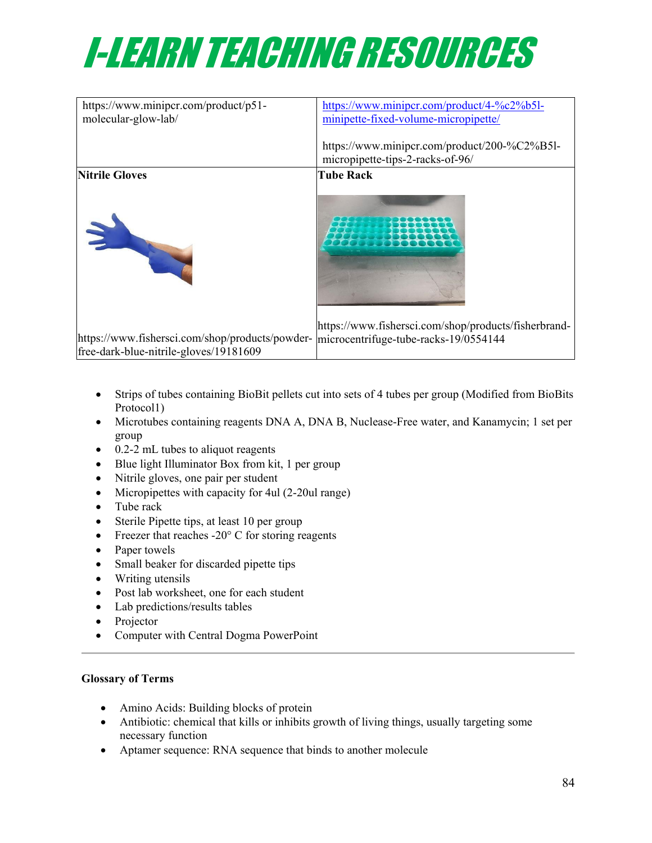

| https://www.minipcr.com/product/p51-<br>molecular-glow-lab/ | https://www.minipcr.com/product/4-%c2%b5l-<br>minipette-fixed-volume-micropipette/ |
|-------------------------------------------------------------|------------------------------------------------------------------------------------|
|                                                             | https://www.minipcr.com/product/200-%C2%B5l-<br>micropipette-tips-2-racks-of-96/   |
| <b>Nitrile Gloves</b>                                       | <b>Tube Rack</b>                                                                   |
| $\mathbf{M}$                                                | https://www.fishersci.com/shop/products/fisherbrand-                               |
| https://www.fishersci.com/shop/products/powder-             | microcentrifuge-tube-racks-19/0554144                                              |
| free-dark-blue-nitrile-gloves/19181609                      |                                                                                    |

- Strips of tubes containing BioBit pellets cut into sets of 4 tubes per group (Modified from BioBits Protocol1)
- Microtubes containing reagents DNA A, DNA B, Nuclease-Free water, and Kanamycin; 1 set per group
- 0.2-2 mL tubes to aliquot reagents
- Blue light Illuminator Box from kit, 1 per group
- Nitrile gloves, one pair per student
- Micropipettes with capacity for 4ul (2-20ul range)
- Tube rack
- Sterile Pipette tips, at least 10 per group
- Freezer that reaches  $-20^{\circ}$  C for storing reagents
- Paper towels
- Small beaker for discarded pipette tips
- Writing utensils
- Post lab worksheet, one for each student
- Lab predictions/results tables
- Projector
- Computer with Central Dogma PowerPoint

#### **Glossary of Terms**

- Amino Acids: Building blocks of protein
- Antibiotic: chemical that kills or inhibits growth of living things, usually targeting some necessary function
- Aptamer sequence: RNA sequence that binds to another molecule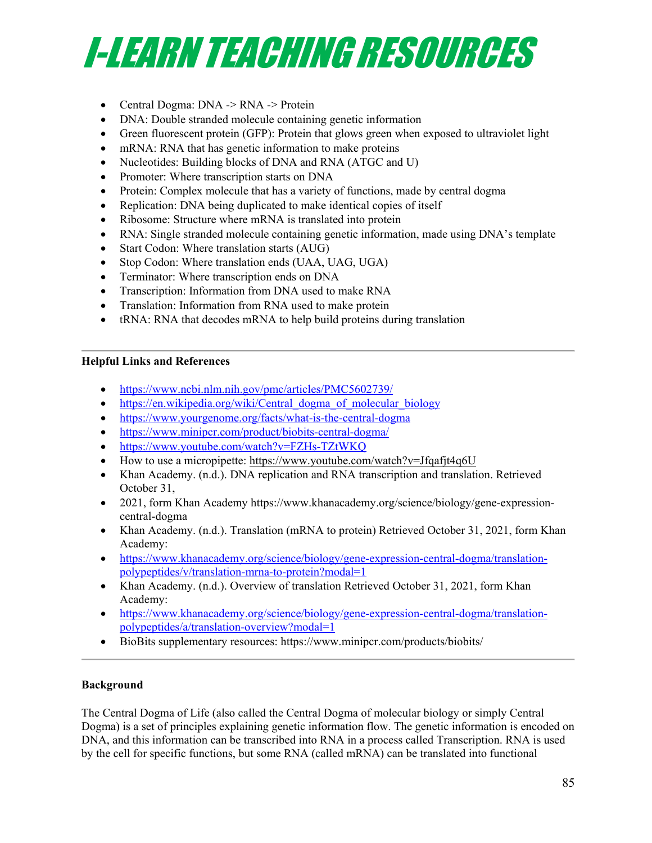

- Central Dogma: DNA -> RNA -> Protein
- DNA: Double stranded molecule containing genetic information
- Green fluorescent protein (GFP): Protein that glows green when exposed to ultraviolet light
- mRNA: RNA that has genetic information to make proteins
- Nucleotides: Building blocks of DNA and RNA (ATGC and U)
- Promoter: Where transcription starts on DNA
- Protein: Complex molecule that has a variety of functions, made by central dogma
- Replication: DNA being duplicated to make identical copies of itself
- Ribosome: Structure where mRNA is translated into protein
- RNA: Single stranded molecule containing genetic information, made using DNA's template
- Start Codon: Where translation starts (AUG)
- Stop Codon: Where translation ends (UAA, UAG, UGA)
- Terminator: Where transcription ends on DNA
- Transcription: Information from DNA used to make RNA
- Translation: Information from RNA used to make protein
- tRNA: RNA that decodes mRNA to help build proteins during translation

#### **Helpful Links and References**

- <https://www.ncbi.nlm.nih.gov/pmc/articles/PMC5602739/>
- [https://en.wikipedia.org/wiki/Central\\_dogma\\_of\\_molecular\\_biology](https://en.wikipedia.org/wiki/Central_dogma_of_molecular_biology)
- <https://www.yourgenome.org/facts/what-is-the-central-dogma>
- <https://www.minipcr.com/product/biobits-central-dogma/>
- https://www.youtube.com/watch?v=FZHs-TZtWKO
- How to use a micropipette:<https://www.youtube.com/watch?v=Jfqafjt4q6U>
- Khan Academy. (n.d.). DNA replication and RNA transcription and translation. Retrieved October 31,
- 2021, form Khan Academy https://www.khanacademy.org/science/biology/gene-expressioncentral-dogma
- Khan Academy. (n.d.). Translation (mRNA to protein) Retrieved October 31, 2021, form Khan Academy:
- [https://www.khanacademy.org/science/biology/gene-expression-central-dogma/translation](https://www.khanacademy.org/science/biology/gene-expression-central-dogma/translation-polypeptides/v/translation-mrna-to-protein?modal=1)[polypeptides/v/translation-mrna-to-protein?modal=1](https://www.khanacademy.org/science/biology/gene-expression-central-dogma/translation-polypeptides/v/translation-mrna-to-protein?modal=1)
- Khan Academy. (n.d.). Overview of translation Retrieved October 31, 2021, form Khan Academy:
- [https://www.khanacademy.org/science/biology/gene-expression-central-dogma/translation](https://www.khanacademy.org/science/biology/gene-expression-central-dogma/translation-polypeptides/a/translation-overview?modal=1)[polypeptides/a/translation-overview?modal=1](https://www.khanacademy.org/science/biology/gene-expression-central-dogma/translation-polypeptides/a/translation-overview?modal=1)
- BioBits supplementary resources: https://www.minipcr.com/products/biobits/

#### **Background**

The Central Dogma of Life (also called the Central Dogma of molecular biology or simply Central Dogma) is a set of principles explaining genetic information flow. The genetic information is encoded on DNA, and this information can be transcribed into RNA in a process called Transcription. RNA is used by the cell for specific functions, but some RNA (called mRNA) can be translated into functional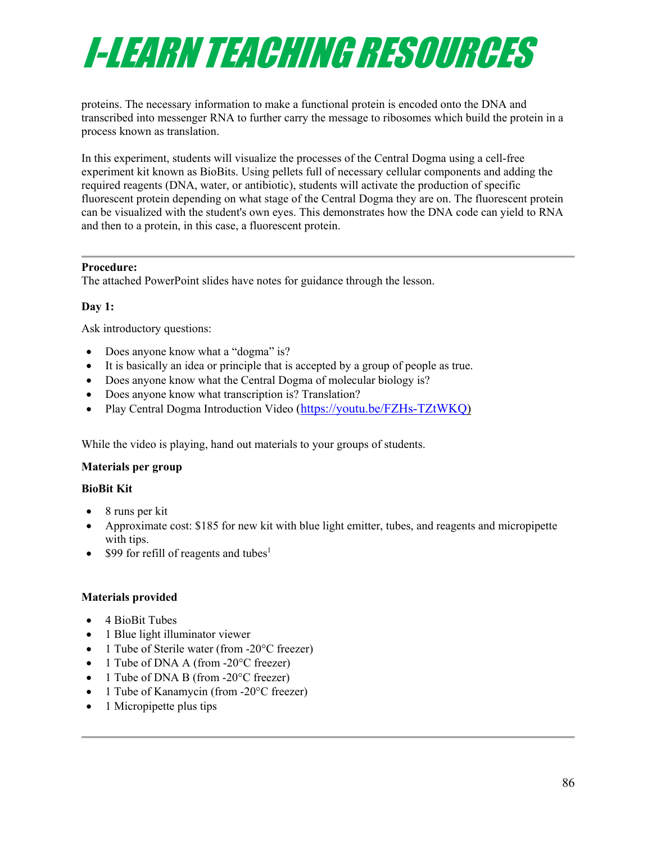# I-LEARN TEACHING RESOURCES

proteins. The necessary information to make a functional protein is encoded onto the DNA and transcribed into messenger RNA to further carry the message to ribosomes which build the protein in a process known as translation.

In this experiment, students will visualize the processes of the Central Dogma using a cell-free experiment kit known as BioBits. Using pellets full of necessary cellular components and adding the required reagents (DNA, water, or antibiotic), students will activate the production of specific fluorescent protein depending on what stage of the Central Dogma they are on. The fluorescent protein can be visualized with the student's own eyes. This demonstrates how the DNA code can yield to RNA and then to a protein, in this case, a fluorescent protein.

#### **Procedure:**

The attached PowerPoint slides have notes for guidance through the lesson.

#### **Day 1:**

Ask introductory questions:

- Does anyone know what a "dogma" is?
- It is basically an idea or principle that is accepted by a group of people as true.
- Does anyone know what the Central Dogma of molecular biology is?
- Does anyone know what transcription is? Translation?
- Play Central Dogma Introduction Video [\(https://youtu.be/FZHs-TZtWKQ\)](https://youtu.be/FZHs-TZtWKQ)

While the video is playing, hand out materials to your groups of students.

#### **Materials per group**

#### **BioBit Kit**

- 8 runs per kit
- Approximate cost: \$185 for new kit with blue light emitter, tubes, and reagents and micropipette with tips.
- \$99 for refill of reagents and tubes<sup>1</sup>

#### **Materials provided**

- 4 BioBit Tubes
- 1 Blue light illuminator viewer
- 1 Tube of Sterile water (from -20°C freezer)
- 1 Tube of DNA A (from -20°C freezer)
- 1 Tube of DNA B (from -20°C freezer)
- 1 Tube of Kanamycin (from -20°C freezer)
- 1 Micropipette plus tips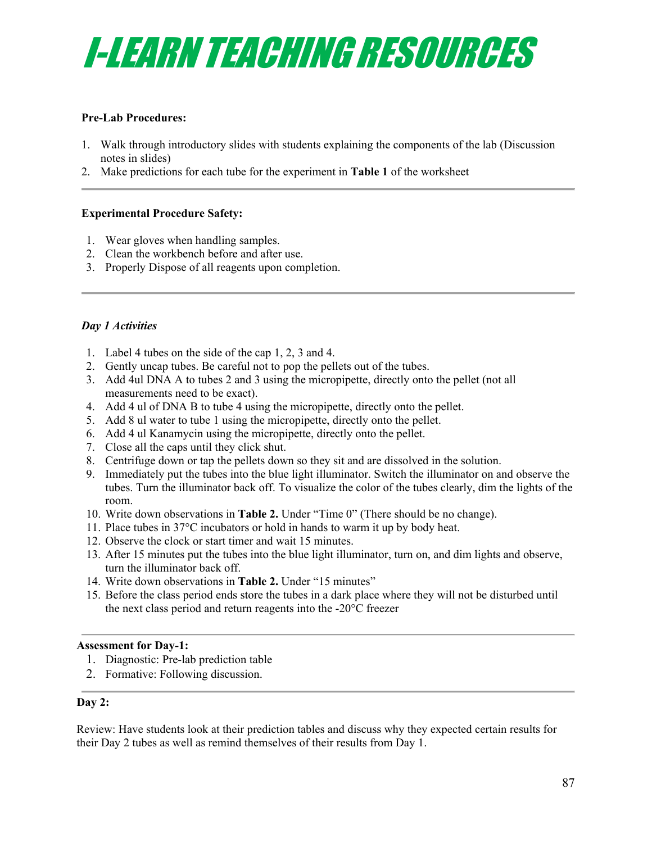

#### **Pre-Lab Procedures:**

- 1. Walk through introductory slides with students explaining the components of the lab (Discussion notes in slides)
- 2. Make predictions for each tube for the experiment in **Table 1** of the worksheet

#### **Experimental Procedure Safety:**

- 1. Wear gloves when handling samples.
- 2. Clean the workbench before and after use.
- 3. Properly Dispose of all reagents upon completion.

#### *Day 1 Activities*

- 1. Label 4 tubes on the side of the cap 1, 2, 3 and 4.
- 2. Gently uncap tubes. Be careful not to pop the pellets out of the tubes.
- 3. Add 4ul DNA A to tubes 2 and 3 using the micropipette, directly onto the pellet (not all measurements need to be exact).
- 4. Add 4 ul of DNA B to tube 4 using the micropipette, directly onto the pellet.
- 5. Add 8 ul water to tube 1 using the micropipette, directly onto the pellet.
- 6. Add 4 ul Kanamycin using the micropipette, directly onto the pellet.
- 7. Close all the caps until they click shut.
- 8. Centrifuge down or tap the pellets down so they sit and are dissolved in the solution.
- 9. Immediately put the tubes into the blue light illuminator. Switch the illuminator on and observe the tubes. Turn the illuminator back off. To visualize the color of the tubes clearly, dim the lights of the room.
- 10. Write down observations in **Table 2.** Under "Time 0" (There should be no change).
- 11. Place tubes in 37°C incubators or hold in hands to warm it up by body heat.
- 12. Observe the clock or start timer and wait 15 minutes.
- 13. After 15 minutes put the tubes into the blue light illuminator, turn on, and dim lights and observe, turn the illuminator back off.
- 14. Write down observations in **Table 2.** Under "15 minutes"
- 15. Before the class period ends store the tubes in a dark place where they will not be disturbed until the next class period and return reagents into the -20°C freezer

#### **Assessment for Day-1:**

- 1. Diagnostic: Pre-lab prediction table
- 2. Formative: Following discussion.

#### **Day 2:**

Review: Have students look at their prediction tables and discuss why they expected certain results for their Day 2 tubes as well as remind themselves of their results from Day 1.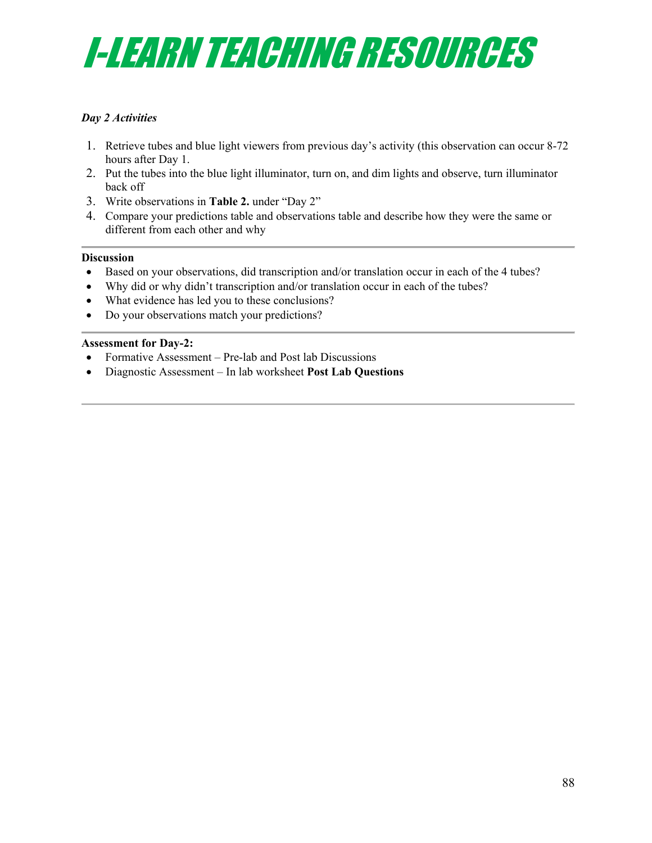## I-LEARN TEACHING RESOURCES

#### *Day 2 Activities*

- 1. Retrieve tubes and blue light viewers from previous day's activity (this observation can occur 8-72 hours after Day 1.
- 2. Put the tubes into the blue light illuminator, turn on, and dim lights and observe, turn illuminator back off
- 3. Write observations in **Table 2.** under "Day 2"
- 4. Compare your predictions table and observations table and describe how they were the same or different from each other and why

#### **Discussion**

- Based on your observations, did transcription and/or translation occur in each of the 4 tubes?
- Why did or why didn't transcription and/or translation occur in each of the tubes?
- What evidence has led you to these conclusions?
- Do your observations match your predictions?

#### **Assessment for Day-2:**

- Formative Assessment Pre-lab and Post lab Discussions
- Diagnostic Assessment In lab worksheet **Post Lab Questions**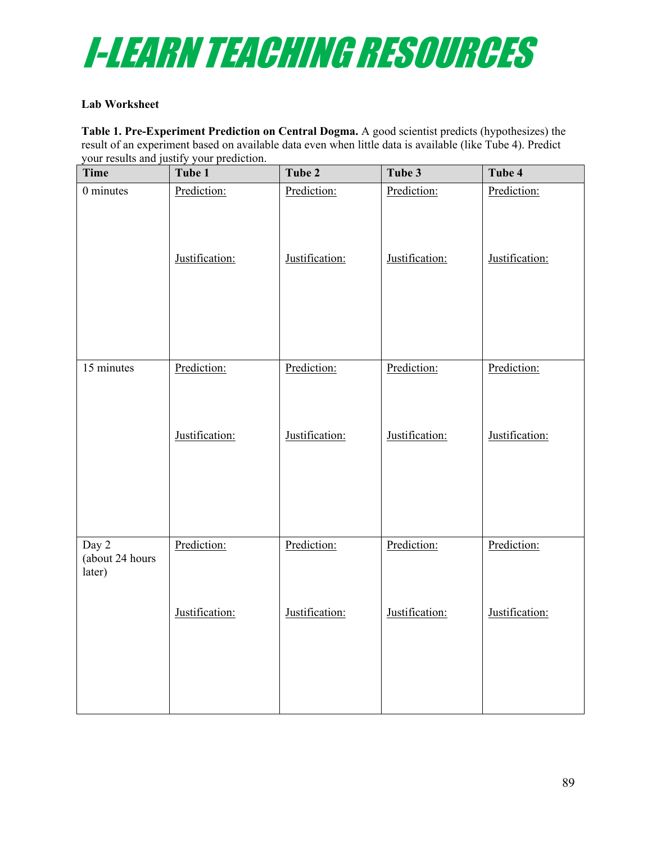

#### **Lab Worksheet**

**Table 1. Pre-Experiment Prediction on Central Dogma.** A good scientist predicts (hypothesizes) the result of an experiment based on available data even when little data is available (like Tube 4). Predict your results and justify your prediction.

| <b>Time</b>                        | $\cdots$ ) $\cdots$ promone<br>Tube 1 | Tube 2         | Tube 3         | Tube 4         |
|------------------------------------|---------------------------------------|----------------|----------------|----------------|
| 0 minutes                          | Prediction:                           | Prediction:    | Prediction:    | Prediction:    |
|                                    | Justification:                        | Justification: | Justification: | Justification: |
| 15 minutes                         | Prediction:                           | Prediction:    | Prediction:    | Prediction:    |
|                                    | Justification:                        | Justification: | Justification: | Justification: |
| Day 2<br>(about 24 hours<br>later) | Prediction:                           | Prediction:    | Prediction:    | Prediction:    |
|                                    | Justification:                        | Justification: | Justification: | Justification: |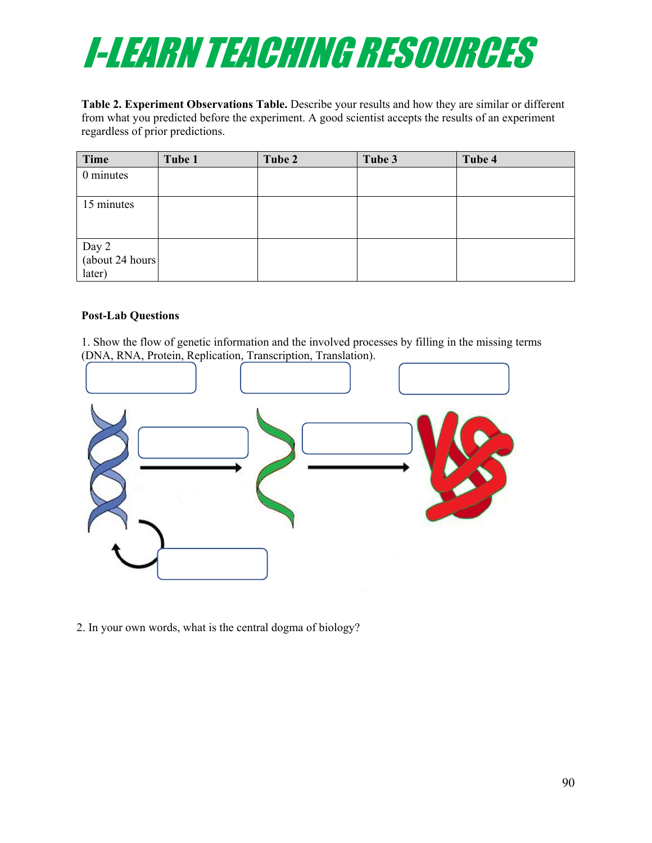

**Table 2. Experiment Observations Table.** Describe your results and how they are similar or different from what you predicted before the experiment. A good scientist accepts the results of an experiment regardless of prior predictions.

| Time                                | Tube 1 | Tube 2 | Tube 3 | Tube 4 |
|-------------------------------------|--------|--------|--------|--------|
| 0 minutes                           |        |        |        |        |
| 15 minutes                          |        |        |        |        |
| Day 2<br>(about 24 hours)<br>later) |        |        |        |        |

#### **Post-Lab Questions**

1. Show the flow of genetic information and the involved processes by filling in the missing terms (DNA, RNA, Protein, Replication, Transcription, Translation).



2. In your own words, what is the central dogma of biology?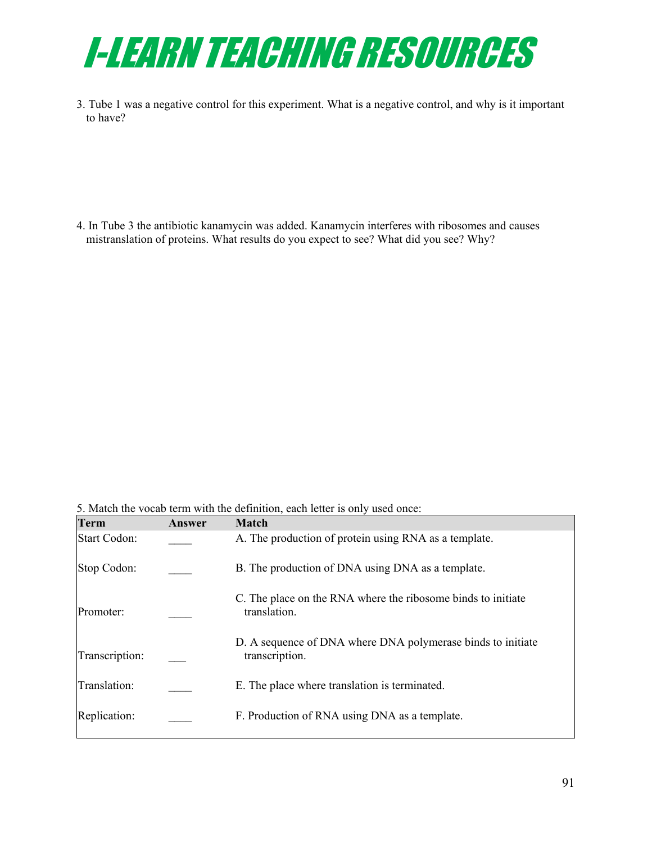

3. Tube 1 was a negative control for this experiment. What is a negative control, and why is it important to have?

4. In Tube 3 the antibiotic kanamycin was added. Kanamycin interferes with ribosomes and causes mistranslation of proteins. What results do you expect to see? What did you see? Why?

5. Match the vocab term with the definition, each letter is only used once:

| <b>Term</b>         | Answer | <b>Match</b>                                                                  |
|---------------------|--------|-------------------------------------------------------------------------------|
| <b>Start Codon:</b> |        | A. The production of protein using RNA as a template.                         |
| Stop Codon:         |        | B. The production of DNA using DNA as a template.                             |
| Promoter:           |        | C. The place on the RNA where the ribosome binds to initiate<br>translation.  |
| Transcription:      |        | D. A sequence of DNA where DNA polymerase binds to initiate<br>transcription. |
| Translation:        |        | E. The place where translation is terminated.                                 |
| Replication:        |        | F. Production of RNA using DNA as a template.                                 |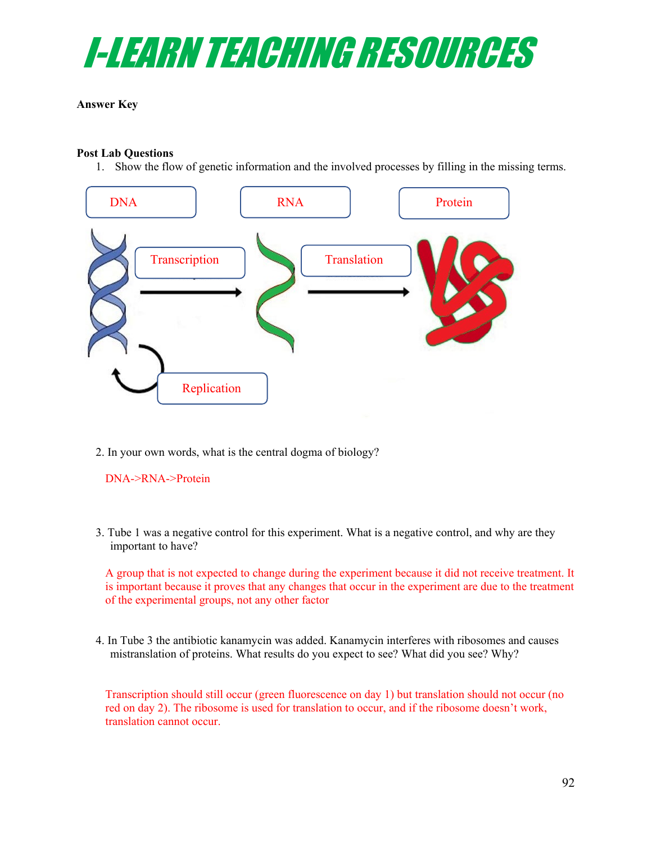

#### **Answer Key**

#### **Post Lab Questions**

1. Show the flow of genetic information and the involved processes by filling in the missing terms.



2. In your own words, what is the central dogma of biology?

DNA->RNA->Protein

3. Tube 1 was a negative control for this experiment. What is a negative control, and why are they important to have?

A group that is not expected to change during the experiment because it did not receive treatment. It is important because it proves that any changes that occur in the experiment are due to the treatment of the experimental groups, not any other factor

4. In Tube 3 the antibiotic kanamycin was added. Kanamycin interferes with ribosomes and causes mistranslation of proteins. What results do you expect to see? What did you see? Why?

Transcription should still occur (green fluorescence on day 1) but translation should not occur (no red on day 2). The ribosome is used for translation to occur, and if the ribosome doesn't work, translation cannot occur.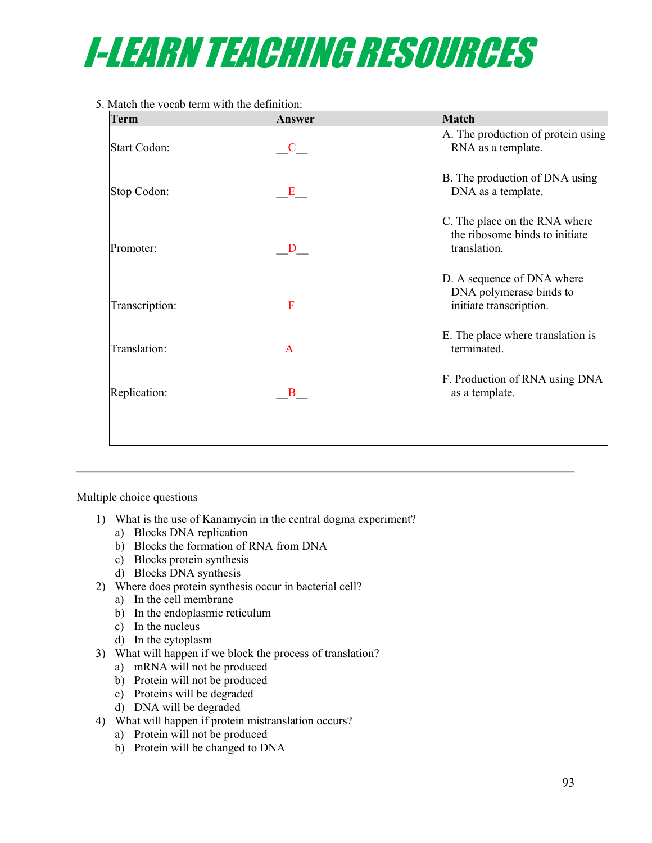

#### 5. Match the vocab term with the definition:

| <b>Term</b>         | Answer               | <b>Match</b>                                                                     |
|---------------------|----------------------|----------------------------------------------------------------------------------|
| <b>Start Codon:</b> | $\mathbf{C}$         | A. The production of protein using<br>RNA as a template.                         |
| Stop Codon:         | $\mathbf{E}_{\perp}$ | B. The production of DNA using<br>DNA as a template.                             |
| Promoter:           | D                    | C. The place on the RNA where<br>the ribosome binds to initiate<br>translation.  |
| Transcription:      | F                    | D. A sequence of DNA where<br>DNA polymerase binds to<br>initiate transcription. |
| Translation:        | A                    | E. The place where translation is<br>terminated.                                 |
| Replication:        | $\mathbf{B}$         | F. Production of RNA using DNA<br>as a template.                                 |
|                     |                      |                                                                                  |

Multiple choice questions

- 1) What is the use of Kanamycin in the central dogma experiment?
	- a) Blocks DNA replication
	- b) Blocks the formation of RNA from DNA
	- c) Blocks protein synthesis
	- d) Blocks DNA synthesis
- 2) Where does protein synthesis occur in bacterial cell?
	- a) In the cell membrane
	- b) In the endoplasmic reticulum
	- c) In the nucleus
	- d) In the cytoplasm
- 3) What will happen if we block the process of translation?
	- a) mRNA will not be produced
	- b) Protein will not be produced
	- c) Proteins will be degraded
	- d) DNA will be degraded
- 4) What will happen if protein mistranslation occurs?
	- a) Protein will not be produced
	- b) Protein will be changed to DNA